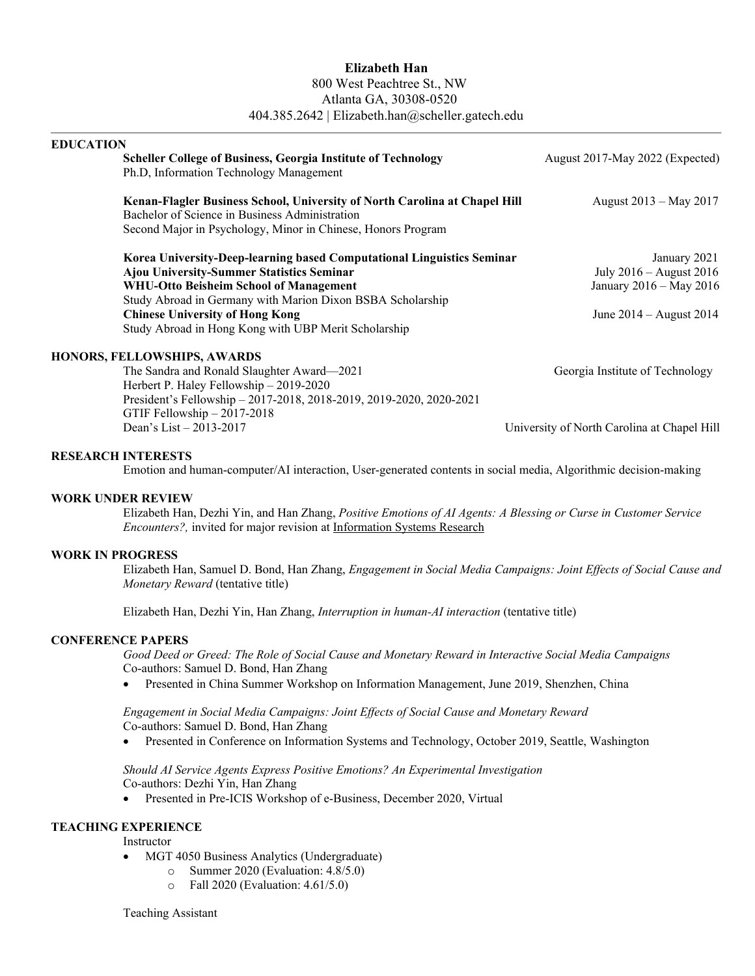# **Elizabeth Han** 800 West Peachtree St., NW Atlanta GA, 30308-0520 404.385.2642 | Elizabeth.han@scheller.gatech.edu

| <b>EDUCATION</b>                                                                  |                                             |
|-----------------------------------------------------------------------------------|---------------------------------------------|
| <b>Scheller College of Business, Georgia Institute of Technology</b>              | August 2017-May 2022 (Expected)             |
| Ph.D, Information Technology Management                                           |                                             |
| <b>Kenan-Flagler Business School, University of North Carolina at Chapel Hill</b> | August 2013 – May 2017                      |
| Bachelor of Science in Business Administration                                    |                                             |
| Second Major in Psychology, Minor in Chinese, Honors Program                      |                                             |
| Korea University-Deep-learning based Computational Linguistics Seminar            | January 2021                                |
| <b>Ajou University-Summer Statistics Seminar</b>                                  | July $2016 -$ August $2016$                 |
| WHU-Otto Beisheim School of Management                                            | January 2016 - May 2016                     |
| Study Abroad in Germany with Marion Dixon BSBA Scholarship                        |                                             |
| <b>Chinese University of Hong Kong</b>                                            | June $2014 -$ August $2014$                 |
| Study Abroad in Hong Kong with UBP Merit Scholarship                              |                                             |
| HONORS, FELLOWSHIPS, AWARDS                                                       |                                             |
| The Sandra and Ronald Slaughter Award-2021                                        | Georgia Institute of Technology             |
| Herbert P. Haley Fellowship - 2019-2020                                           |                                             |
| President's Fellowship - 2017-2018, 2018-2019, 2019-2020, 2020-2021               |                                             |
| GTIF Fellowship $-2017-2018$                                                      |                                             |
| Dean's List $-2013-2017$                                                          | University of North Carolina at Chapel Hill |
|                                                                                   |                                             |

### **RESEARCH INTERESTS**

Emotion and human-computer/AI interaction, User-generated contents in social media, Algorithmic decision-making

### **WORK UNDER REVIEW**

Elizabeth Han, Dezhi Yin, and Han Zhang, *Positive Emotions of AI Agents: A Blessing or Curse in Customer Service Encounters?,* invited for major revision at Information Systems Research

#### **WORK IN PROGRESS**

Elizabeth Han, Samuel D. Bond, Han Zhang, *Engagement in Social Media Campaigns: Joint Effects of Social Cause and Monetary Reward* (tentative title)

Elizabeth Han, Dezhi Yin, Han Zhang, *Interruption in human-AI interaction* (tentative title)

### **CONFERENCE PAPERS**

*Good Deed or Greed: The Role of Social Cause and Monetary Reward in Interactive Social Media Campaigns* Co-authors: Samuel D. Bond, Han Zhang

• Presented in China Summer Workshop on Information Management, June 2019, Shenzhen, China

*Engagement in Social Media Campaigns: Joint Effects of Social Cause and Monetary Reward* Co-authors: Samuel D. Bond, Han Zhang

• Presented in Conference on Information Systems and Technology, October 2019, Seattle, Washington

### *Should AI Service Agents Express Positive Emotions? An Experimental Investigation* Co-authors: Dezhi Yin, Han Zhang

• Presented in Pre-ICIS Workshop of e-Business, December 2020, Virtual

## **TEACHING EXPERIENCE**

Instructor

- MGT 4050 Business Analytics (Undergraduate)
	- o Summer 2020 (Evaluation: 4.8/5.0)
	- o Fall 2020 (Evaluation: 4.61/5.0)

Teaching Assistant